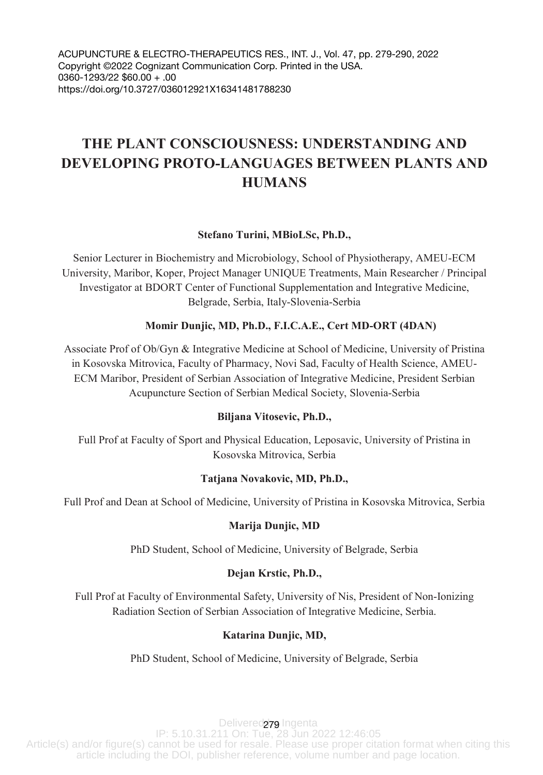ACUPUNCTURE & ELECTRO-THERAPEUTICS RES., INT. J., Vol. 47, pp. 279-290, 2022 Copyright ©2022 Cognizant Communication Corp. Printed in the USA. 0360-1293/22 \$60.00 + .00 https://doi.org/10.3727/036012921X16341481788230

# **THE PLANT CONSCIOUSNESS: UNDERSTANDING AND DEVELOPING PROTO-LANGUAGES BETWEEN PLANTS AND HUMANS**

# **Stefano Turini, MBioLSc, Ph.D.,**

Senior Lecturer in Biochemistry and Microbiology, School of Physiotherapy, AMEU-ECM University, Maribor, Koper, Project Manager UNIQUE Treatments, Main Researcher / Principal Investigator at BDORT Center of Functional Supplementation and Integrative Medicine, Belgrade, Serbia, Italy-Slovenia-Serbia

## **Momir Dunjic, MD, Ph.D., F.I.C.A.E., Cert MD-ORT (4DAN)**

Associate Prof of Ob/Gyn & Integrative Medicine at School of Medicine, University of Pristina in Kosovska Mitrovica, Faculty of Pharmacy, Novi Sad, Faculty of Health Science, AMEU-ECM Maribor, President of Serbian Association of Integrative Medicine, President Serbian Acupuncture Section of Serbian Medical Society, Slovenia-Serbia

## **Biljana Vitosevic, Ph.D.,**

Full Prof at Faculty of Sport and Physical Education, Leposavic, University of Pristina in Kosovska Mitrovica, Serbia

#### **Tatjana Novakovic, MD, Ph.D.,**

Full Prof and Dean at School of Medicine, University of Pristina in Kosovska Mitrovica, Serbia

#### **Marija Dunjic, MD**

PhD Student, School of Medicine, University of Belgrade, Serbia

## **Dejan Krstic, Ph.D.,**

Full Prof at Faculty of Environmental Safety, University of Nis, President of Non-Ionizing Radiation Section of Serbian Association of Integrative Medicine, Serbia.

## **Katarina Dunjic, MD,**

PhD Student, School of Medicine, University of Belgrade, Serbia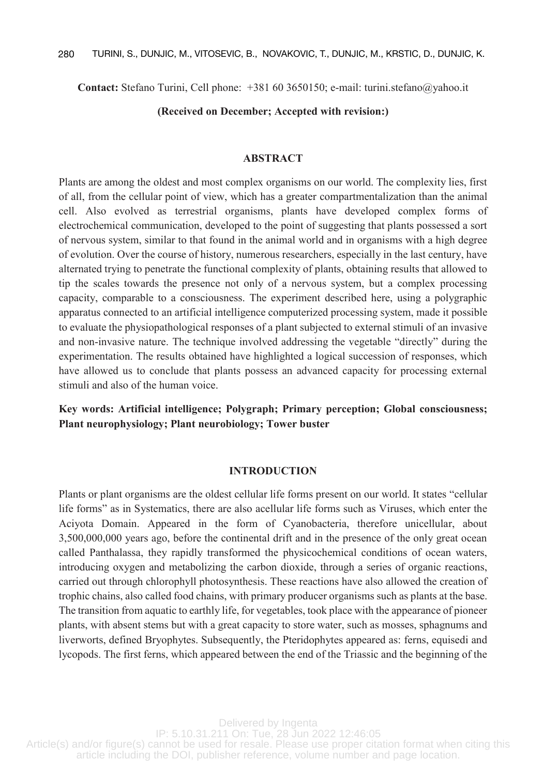**Contact:** Stefano Turini, Cell phone: +381 60 3650150; e-mail: turini.stefano@yahoo.it

## **(Received on December; Accepted with revision:)**

#### **ABSTRACT**

Plants are among the oldest and most complex organisms on our world. The complexity lies, first of all, from the cellular point of view, which has a greater compartmentalization than the animal cell. Also evolved as terrestrial organisms, plants have developed complex forms of electrochemical communication, developed to the point of suggesting that plants possessed a sort of nervous system, similar to that found in the animal world and in organisms with a high degree of evolution. Over the course of history, numerous researchers, especially in the last century, have alternated trying to penetrate the functional complexity of plants, obtaining results that allowed to tip the scales towards the presence not only of a nervous system, but a complex processing capacity, comparable to a consciousness. The experiment described here, using a polygraphic apparatus connected to an artificial intelligence computerized processing system, made it possible to evaluate the physiopathological responses of a plant subjected to external stimuli of an invasive and non-invasive nature. The technique involved addressing the vegetable "directly" during the experimentation. The results obtained have highlighted a logical succession of responses, which have allowed us to conclude that plants possess an advanced capacity for processing external stimuli and also of the human voice.

**Key words: Artificial intelligence; Polygraph; Primary perception; Global consciousness; Plant neurophysiology; Plant neurobiology; Tower buster**

#### **INTRODUCTION**

Plants or plant organisms are the oldest cellular life forms present on our world. It states "cellular life forms" as in Systematics, there are also acellular life forms such as Viruses, which enter the Aciyota Domain. Appeared in the form of Cyanobacteria, therefore unicellular, about 3,500,000,000 years ago, before the continental drift and in the presence of the only great ocean called Panthalassa, they rapidly transformed the physicochemical conditions of ocean waters, introducing oxygen and metabolizing the carbon dioxide, through a series of organic reactions, carried out through chlorophyll photosynthesis. These reactions have also allowed the creation of trophic chains, also called food chains, with primary producer organisms such as plants at the base. The transition from aquatic to earthly life, for vegetables, took place with the appearance of pioneer plants, with absent stems but with a great capacity to store water, such as mosses, sphagnums and liverworts, defined Bryophytes. Subsequently, the Pteridophytes appeared as: ferns, equisedi and lycopods. The first ferns, which appeared between the end of the Triassic and the beginning of the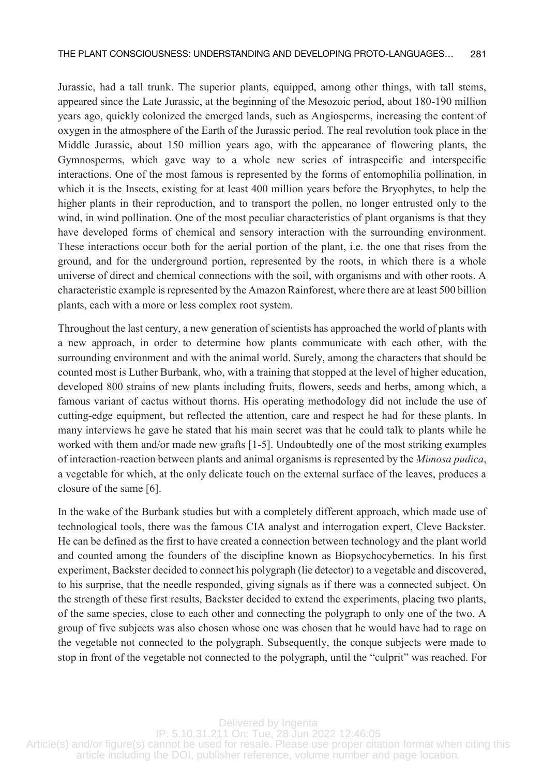Jurassic, had a tall trunk. The superior plants, equipped, among other things, with tall stems, appeared since the Late Jurassic, at the beginning of the Mesozoic period, about 180-190 million years ago, quickly colonized the emerged lands, such as Angiosperms, increasing the content of oxygen in the atmosphere of the Earth of the Jurassic period. The real revolution took place in the Middle Jurassic, about 150 million years ago, with the appearance of flowering plants, the Gymnosperms, which gave way to a whole new series of intraspecific and interspecific interactions. One of the most famous is represented by the forms of entomophilia pollination, in which it is the Insects, existing for at least 400 million years before the Bryophytes, to help the higher plants in their reproduction, and to transport the pollen, no longer entrusted only to the wind, in wind pollination. One of the most peculiar characteristics of plant organisms is that they have developed forms of chemical and sensory interaction with the surrounding environment. These interactions occur both for the aerial portion of the plant, i.e. the one that rises from the ground, and for the underground portion, represented by the roots, in which there is a whole universe of direct and chemical connections with the soil, with organisms and with other roots. A characteristic example is represented by the Amazon Rainforest, where there are at least 500 billion plants, each with a more or less complex root system.

Throughout the last century, a new generation of scientists has approached the world of plants with a new approach, in order to determine how plants communicate with each other, with the surrounding environment and with the animal world. Surely, among the characters that should be counted most is Luther Burbank, who, with a training that stopped at the level of higher education, developed 800 strains of new plants including fruits, flowers, seeds and herbs, among which, a famous variant of cactus without thorns. His operating methodology did not include the use of cutting-edge equipment, but reflected the attention, care and respect he had for these plants. In many interviews he gave he stated that his main secret was that he could talk to plants while he worked with them and/or made new grafts [1-5]. Undoubtedly one of the most striking examples of interaction-reaction between plants and animal organisms is represented by the *Mimosa pudica*, a vegetable for which, at the only delicate touch on the external surface of the leaves, produces a closure of the same [6].

In the wake of the Burbank studies but with a completely different approach, which made use of technological tools, there was the famous CIA analyst and interrogation expert, Cleve Backster. He can be defined as the first to have created a connection between technology and the plant world and counted among the founders of the discipline known as Biopsychocybernetics. In his first experiment, Backster decided to connect his polygraph (lie detector) to a vegetable and discovered, to his surprise, that the needle responded, giving signals as if there was a connected subject. On the strength of these first results, Backster decided to extend the experiments, placing two plants, of the same species, close to each other and connecting the polygraph to only one of the two. A group of five subjects was also chosen whose one was chosen that he would have had to rage on the vegetable not connected to the polygraph. Subsequently, the conque subjects were made to stop in front of the vegetable not connected to the polygraph, until the "culprit" was reached. For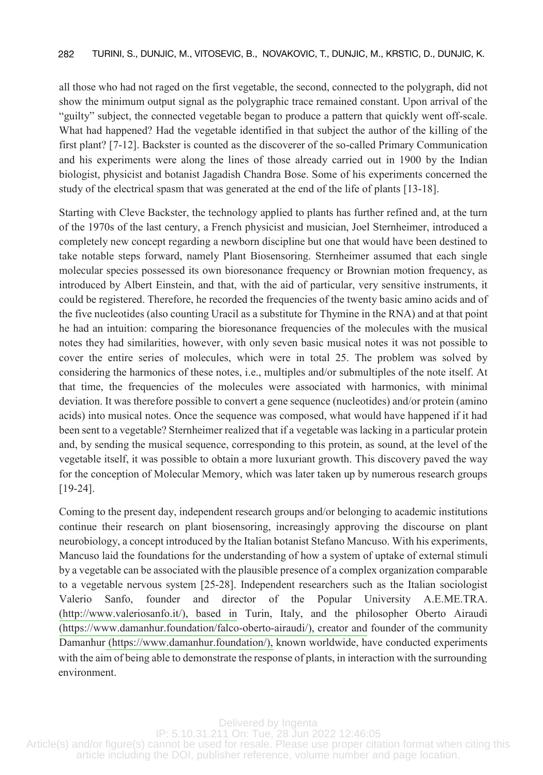all those who had not raged on the first vegetable, the second, connected to the polygraph, did not show the minimum output signal as the polygraphic trace remained constant. Upon arrival of the "guilty" subject, the connected vegetable began to produce a pattern that quickly went off-scale. What had happened? Had the vegetable identified in that subject the author of the killing of the first plant? [7-12]. Backster is counted as the discoverer of the so-called Primary Communication and his experiments were along the lines of those already carried out in 1900 by the Indian biologist, physicist and botanist Jagadish Chandra Bose. Some of his experiments concerned the study of the electrical spasm that was generated at the end of the life of plants [13-18].

Starting with Cleve Backster, the technology applied to plants has further refined and, at the turn of the 1970s of the last century, a French physicist and musician, Joel Sternheimer, introduced a completely new concept regarding a newborn discipline but one that would have been destined to take notable steps forward, namely Plant Biosensoring. Sternheimer assumed that each single molecular species possessed its own bioresonance frequency or Brownian motion frequency, as introduced by Albert Einstein, and that, with the aid of particular, very sensitive instruments, it could be registered. Therefore, he recorded the frequencies of the twenty basic amino acids and of the five nucleotides (also counting Uracil as a substitute for Thymine in the RNA) and at that point he had an intuition: comparing the bioresonance frequencies of the molecules with the musical notes they had similarities, however, with only seven basic musical notes it was not possible to cover the entire series of molecules, which were in total 25. The problem was solved by considering the harmonics of these notes, i.e., multiples and/or submultiples of the note itself. At that time, the frequencies of the molecules were associated with harmonics, with minimal deviation. It was therefore possible to convert a gene sequence (nucleotides) and/or protein (amino acids) into musical notes. Once the sequence was composed, what would have happened if it had been sent to a vegetable? Sternheimer realized that if a vegetable was lacking in a particular protein and, by sending the musical sequence, corresponding to this protein, as sound, at the level of the vegetable itself, it was possible to obtain a more luxuriant growth. This discovery paved the way for the conception of Molecular Memory, which was later taken up by numerous research groups [19-24].

Coming to the present day, independent research groups and/or belonging to academic institutions continue their research on plant biosensoring, increasingly approving the discourse on plant neurobiology, a concept introduced by the Italian botanist Stefano Mancuso. With his experiments, Mancuso laid the foundations for the understanding of how a system of uptake of external stimuli by a vegetable can be associated with the plausible presence of a complex organization comparable to a vegetable nervous system [25-28]. Independent researchers such as the Italian sociologist Valerio Sanfo, founder and director of the Popular University A.E.ME.TRA. [\(http://www.valeriosanfo.it/\), based in](http://www.valeriosanfo.it/),basedin) Turin, Italy, and the philosopher Oberto Airaudi [\(https://www.damanhur.foundation/falco-oberto-airaudi/\), creator and](http://www.damanhur.foundation/falco-oberto-airaudi/),creatorand) founder of the community Damanhur [\(https://www.damanhur.foundation/\),](http://www.damanhur.foundation/) known worldwide, have conducted experiments with the aim of being able to demonstrate the response of plants, in interaction with the surrounding environment.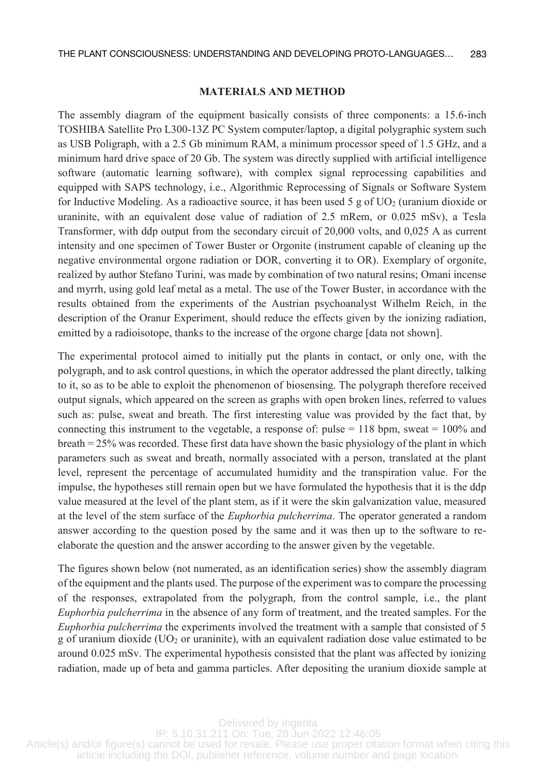# **MATERIALS AND METHOD**

The assembly diagram of the equipment basically consists of three components: a 15.6-inch TOSHIBA Satellite Pro L300-13Z PC System computer/laptop, a digital polygraphic system such as USB Poligraph, with a 2.5 Gb minimum RAM, a minimum processor speed of 1.5 GHz, and a minimum hard drive space of 20 Gb. The system was directly supplied with artificial intelligence software (automatic learning software), with complex signal reprocessing capabilities and equipped with SAPS technology, i.e., Algorithmic Reprocessing of Signals or Software System for Inductive Modeling. As a radioactive source, it has been used 5 g of  $UO<sub>2</sub>$  (uranium dioxide or uraninite, with an equivalent dose value of radiation of 2.5 mRem, or 0.025 mSv), a Tesla Transformer, with ddp output from the secondary circuit of 20,000 volts, and 0,025 A as current intensity and one specimen of Tower Buster or Orgonite (instrument capable of cleaning up the negative environmental orgone radiation or DOR, converting it to OR). Exemplary of orgonite, realized by author Stefano Turini, was made by combination of two natural resins; Omani incense and myrrh, using gold leaf metal as a metal. The use of the Tower Buster, in accordance with the results obtained from the experiments of the Austrian psychoanalyst Wilhelm Reich, in the description of the Oranur Experiment, should reduce the effects given by the ionizing radiation, emitted by a radioisotope, thanks to the increase of the orgone charge [data not shown].

The experimental protocol aimed to initially put the plants in contact, or only one, with the polygraph, and to ask control questions, in which the operator addressed the plant directly, talking to it, so as to be able to exploit the phenomenon of biosensing. The polygraph therefore received output signals, which appeared on the screen as graphs with open broken lines, referred to values such as: pulse, sweat and breath. The first interesting value was provided by the fact that, by connecting this instrument to the vegetable, a response of: pulse  $= 118$  bpm, sweat  $= 100\%$  and breath = 25% was recorded. These first data have shown the basic physiology of the plant in which parameters such as sweat and breath, normally associated with a person, translated at the plant level, represent the percentage of accumulated humidity and the transpiration value. For the impulse, the hypotheses still remain open but we have formulated the hypothesis that it is the ddp value measured at the level of the plant stem, as if it were the skin galvanization value, measured at the level of the stem surface of the *Euphorbia pulcherrima*. The operator generated a random answer according to the question posed by the same and it was then up to the software to reelaborate the question and the answer according to the answer given by the vegetable.

around 0.025 mSv. The experimental hypothesis consisted that the plant was affected by ionizing The figures shown below (not numerated, as an identification series) show the assembly diagram of the equipment and the plants used. The purpose of the experiment was to compare the processing of the responses, extrapolated from the polygraph, from the control sample, i.e., the plant *Euphorbia pulcherrima* in the absence of any form of treatment, and the treated samples. For the *Euphorbia pulcherrima* the experiments involved the treatment with a sample that consisted of 5 g of uranium dioxide ( $UO<sub>2</sub>$  or uraninite), with an equivalent radiation dose value estimated to be radiation, made up of beta and gamma particles. After depositing the uranium dioxide sample at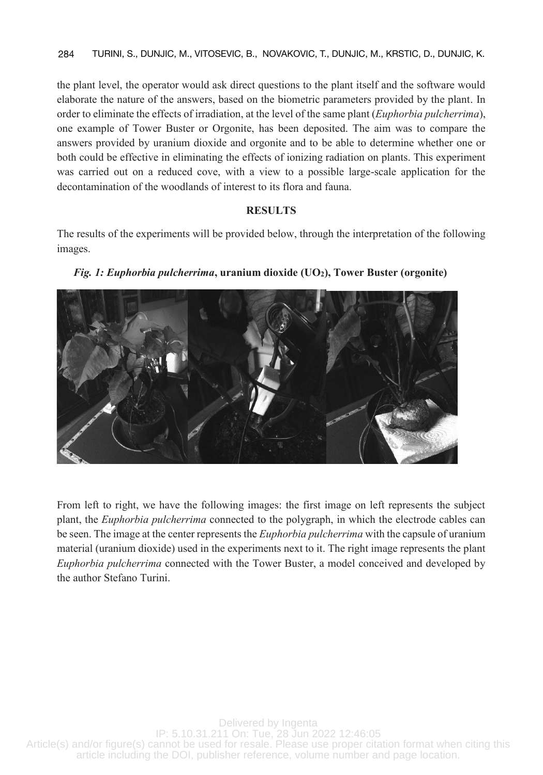the plant level, the operator would ask direct questions to the plant itself and the software would elaborate the nature of the answers, based on the biometric parameters provided by the plant. In order to eliminate the effects of irradiation, at the level of the same plant (*Euphorbia pulcherrima*), one example of Tower Buster or Orgonite, has been deposited. The aim was to compare the answers provided by uranium dioxide and orgonite and to be able to determine whether one or both could be effective in eliminating the effects of ionizing radiation on plants. This experiment was carried out on a reduced cove, with a view to a possible large-scale application for the decontamination of the woodlands of interest to its flora and fauna.

# **RESULTS**

The results of the experiments will be provided below, through the interpretation of the following images.





From left to right, we have the following images: the first image on left represents the subject plant, the *Euphorbia pulcherrima* connected to the polygraph, in which the electrode cables can be seen. The image at the center represents the *Euphorbia pulcherrima* with the capsule of uranium material (uranium dioxide) used in the experiments next to it. The right image represents the plant *Euphorbia pulcherrima* connected with the Tower Buster, a model conceived and developed by the author Stefano Turini.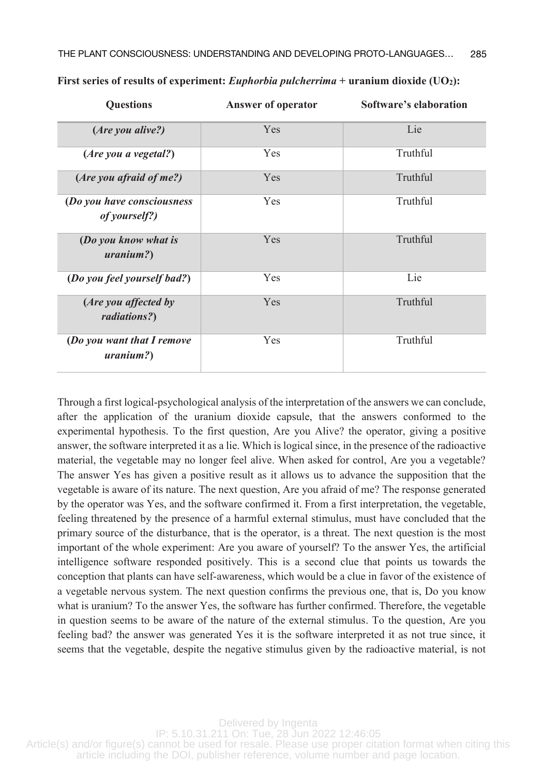| <b>Questions</b>                            | Answer of operator | Software's elaboration |
|---------------------------------------------|--------------------|------------------------|
| (Are you alive?)                            | <b>Yes</b>         | Lie                    |
| (Are you a vegetal?)                        | <b>Yes</b>         | Truthful               |
| (Are you afraid of me?)                     | <b>Yes</b>         | Truthful               |
| (Do you have consciousness<br>of yourself?) | <b>Yes</b>         | Truthful               |
| (Do you know what is<br>uranium?            | <b>Yes</b>         | Truthful               |
| (Do you feel yourself bad?)                 | Yes                | Lie                    |
| (Are you affected by<br>radiations?)        | Yes                | Truthful               |
| (Do you want that I remove<br>$uranium?$ )  | <b>Yes</b>         | Truthful               |

# **First series of results of experiment:** *Euphorbia pulcherrima* **+ uranium dioxide (UO2):**

Through a first logical-psychological analysis of the interpretation of the answers we can conclude, after the application of the uranium dioxide capsule, that the answers conformed to the experimental hypothesis. To the first question, Are you Alive? the operator, giving a positive answer, the software interpreted it as a lie. Which is logical since, in the presence of the radioactive material, the vegetable may no longer feel alive. When asked for control, Are you a vegetable? The answer Yes has given a positive result as it allows us to advance the supposition that the vegetable is aware of its nature. The next question, Are you afraid of me? The response generated by the operator was Yes, and the software confirmed it. From a first interpretation, the vegetable, feeling threatened by the presence of a harmful external stimulus, must have concluded that the primary source of the disturbance, that is the operator, is a threat. The next question is the most important of the whole experiment: Are you aware of yourself? To the answer Yes, the artificial intelligence software responded positively. This is a second clue that points us towards the conception that plants can have self-awareness, which would be a clue in favor of the existence of a vegetable nervous system. The next question confirms the previous one, that is, Do you know what is uranium? To the answer Yes, the software has further confirmed. Therefore, the vegetable in question seems to be aware of the nature of the external stimulus. To the question, Are you feeling bad? the answer was generated Yes it is the software interpreted it as not true since, it seems that the vegetable, despite the negative stimulus given by the radioactive material, is not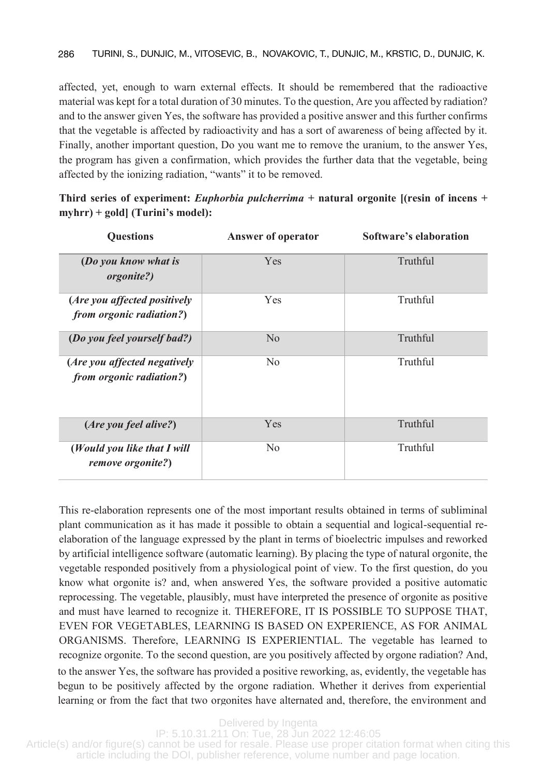affected, yet, enough to warn external effects. It should be remembered that the radioactive material was kept for a total duration of 30 minutes. To the question, Are you affected by radiation? and to the answer given Yes, the software has provided a positive answer and this further confirms that the vegetable is affected by radioactivity and has a sort of awareness of being affected by it. Finally, another important question, Do you want me to remove the uranium, to the answer Yes, the program has given a confirmation, which provides the further data that the vegetable, being affected by the ionizing radiation, "wants" it to be removed.

**Third series of experiment:** *Euphorbia pulcherrima* **+ natural orgonite [(resin of incens + myhrr) + gold] (Turini's model):**

| <b>Ouestions</b>                                                 | Answer of operator | Software's elaboration |
|------------------------------------------------------------------|--------------------|------------------------|
| (Do you know what is<br><i>orgonite?</i>                         | Yes                | Truthful               |
| (Are you affected positively<br><i>from orgonic radiation?</i> ) | <b>Yes</b>         | Truthful               |
| (Do you feel yourself bad?)                                      | No                 | Truthful               |
| (Are you affected negatively<br>from orgonic radiation?)         | N <sub>0</sub>     | Truthful               |
| (Are you feel alive?)                                            | Yes                | Truthful               |
| (Would you like that I will<br>remove orgonite?)                 | N <sub>0</sub>     | Truthful               |

begun to be positively affected by the orgone radiation. Whether it derives from experiential This re-elaboration represents one of the most important results obtained in terms of subliminal plant communication as it has made it possible to obtain a sequential and logical-sequential reelaboration of the language expressed by the plant in terms of bioelectric impulses and reworked by artificial intelligence software (automatic learning). By placing the type of natural orgonite, the vegetable responded positively from a physiological point of view. To the first question, do you know what orgonite is? and, when answered Yes, the software provided a positive automatic reprocessing. The vegetable, plausibly, must have interpreted the presence of orgonite as positive and must have learned to recognize it. THEREFORE, IT IS POSSIBLE TO SUPPOSE THAT, EVEN FOR VEGETABLES, LEARNING IS BASED ON EXPERIENCE, AS FOR ANIMAL ORGANISMS. Therefore, LEARNING IS EXPERIENTIAL. The vegetable has learned to recognize orgonite. To the second question, are you positively affected by orgone radiation? And, to the answer Yes, the software has provided a positive reworking, as, evidently, the vegetable has learning or from the fact that two orgonites have alternated and, therefore, the environment and

Delivered by Ingenta  $\mathbf{r} = \mathbf{r} \cdot \mathbf{r}$  increase in the concentration of EOR, with an increase in the concentration of EOR, we are not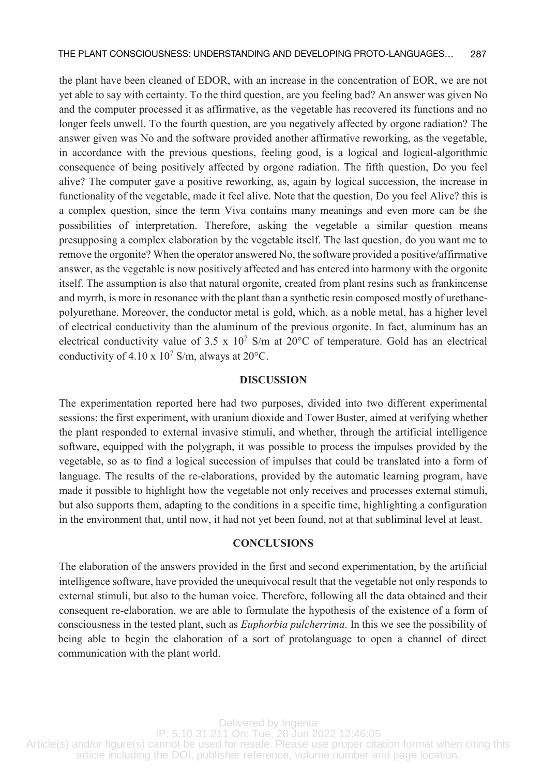the plant have been cleaned of EDOR, with an increase in the concentration of EOR, we are not yet able to say with certainty. To the third question, are you feeling bad? An answer was given No and the computer processed it as affirmative, as the vegetable has recovered its functions and no longer feels unwell. To the fourth question, are you negatively affected by orgone radiation? The answer given was No and the software provided another affirmative reworking, as the vegetable, in accordance with the previous questions, feeling good, is a logical and logical-algorithmic consequence of being positively affected by orgone radiation. The fifth question, Do you feel alive? The computer gave a positive reworking, as, again by logical succession, the increase in functionality of the vegetable, made it feel alive. Note that the question, Do you feel Alive? this is a complex question, since the term Viva contains many meanings and even more can be the possibilities of interpretation. Therefore, asking the vegetable a similar question means presupposing a complex elaboration by the vegetable itself. The last question, do you want me to remove the orgonite? When the operator answered No, the software provided a positive/affirmative answer, as the vegetable is now positively affected and has entered into harmony with the orgonite itself. The assumption is also that natural orgonite, created from plant resins such as frankincense and myrrh, is more in resonance with the plant than a synthetic resin composed mostly of urethanepolyurethane. Moreover, the conductor metal is gold, which, as a noble metal, has a higher level of electrical conductivity than the aluminum of the previous orgonite. In fact, aluminum has an electrical conductivity value of 3.5 x  $10^7$  S/m at 20°C of temperature. Gold has an electrical conductivity of 4.10 x  $10^7$  S/m, always at 20 $^{\circ}$ C.

## **DISCUSSION**

The experimentation reported here had two purposes, divided into two different experimental sessions: the first experiment, with uranium dioxide and Tower Buster, aimed at verifying whether the plant responded to external invasive stimuli, and whether, through the artificial intelligence software, equipped with the polygraph, it was possible to process the impulses provided by the vegetable, so as to find a logical succession of impulses that could be translated into a form of language. The results of the re-elaborations, provided by the automatic learning program, have made it possible to highlight how the vegetable not only receives and processes external stimuli, but also supports them, adapting to the conditions in a specific time, highlighting a configuration in the environment that, until now, it had not yet been found, not at that subliminal level at least.

#### **CONCLUSIONS**

being able to begin the elaboration of a sort of protolanguage to open a channel of direct The elaboration of the answers provided in the first and second experimentation, by the artificial intelligence software, have provided the unequivocal result that the vegetable not only responds to external stimuli, but also to the human voice. Therefore, following all the data obtained and their consequent re-elaboration, we are able to formulate the hypothesis of the existence of a form of consciousness in the tested plant, such as *Euphorbia pulcherrima*. In this we see the possibility of communication with the plant world.

Delivered by Ingenta  $IP: 5.10.31.211$  On: Tue, 28 Jun 2022 12:46:05 Article(s) and/or figure(s) cannot be used for resale. Please use proper citation format when citing this article including the DOI, publisher reference, volume number and page location. Center team in Belgrade, not mentioned as direct participants of the research, and we also want to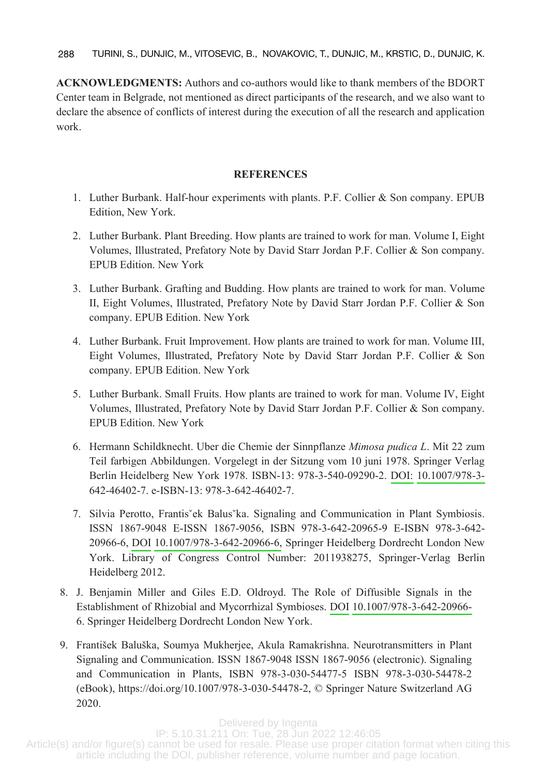**ACKNOWLEDGMENTS:** Authors and co-authors would like to thank members of the BDORT Center team in Belgrade, not mentioned as direct participants of the research, and we also want to declare the absence of conflicts of interest during the execution of all the research and application work.

# **REFERENCES**

- 1. Luther Burbank. Half-hour experiments with plants. P.F. Collier & Son company. EPUB Edition, New York.
- 2. Luther Burbank. Plant Breeding. How plants are trained to work for man. Volume I, Eight Volumes, Illustrated, Prefatory Note by David Starr Jordan P.F. Collier & Son company. EPUB Edition. New York
- 3. Luther Burbank. Grafting and Budding. How plants are trained to work for man. Volume II, Eight Volumes, Illustrated, Prefatory Note by David Starr Jordan P.F. Collier & Son company. EPUB Edition. New York
- 4. Luther Burbank. Fruit Improvement. How plants are trained to work for man. Volume III, Eight Volumes, Illustrated, Prefatory Note by David Starr Jordan P.F. Collier & Son company. EPUB Edition. New York
- 5. Luther Burbank. Small Fruits. How plants are trained to work for man. Volume IV, Eight Volumes, Illustrated, Prefatory Note by David Starr Jordan P.F. Collier & Son company. EPUB Edition. New York
- 6. Hermann Schildknecht. Uber die Chemie der Sinnpflanze *Mimosa pudica L*. Mit 22 zum Teil farbigen Abbildungen. Vorgelegt in der Sitzung vom 10 juni 1978. Springer Verlag Berlin Heidelberg New York 1978. ISBN-13: 978-3-540-09290-2. [DOI: 10.1007/978](http://dx.doi.org/10.1007/978-3-)-3- 642-46402-7. e-ISBN-13: 978-3-642-46402-7.
- 7. Silvia Perotto, Frantisˇek Balusˇka. Signaling and Communication in Plant Symbiosis. ISSN 1867-9048 E-ISSN 1867-9056, ISBN 978-3-642-20965-9 E-ISBN 978-3-642- 20966-6, [DOI](http://dx.doi.org/10.1007/978-3-642-20966-6) [10.1007/978](http://dx.doi.org/10.1007/978-3-642-20966-6)-3-642-20966-6, Springer Heidelberg Dordrecht London New York. Library of Congress Control Number: 2011938275, Springer-Verlag Berlin Heidelberg 2012.
- 8. J. Benjamin Miller and Giles E.D. Oldroyd. The Role of Diffusible Signals in the Establishment of Rhizobial and Mycorrhizal Symbioses. [DOI](http://dx.doi.org/10.1007/978-3-642-20966-) [10.1007/978](http://dx.doi.org/10.1007/978-3-642-20966-)-3-642-20966- 6. Springer Heidelberg Dordrecht London New York.
- 9. František Baluška, Soumya Mukherjee, Akula Ramakrishna. Neurotransmitters in Plant Signaling and Communication. ISSN 1867-9048 ISSN 1867-9056 (electronic). Signaling and Communication in Plants, ISBN 978-3-030-54477-5 ISBN 978-3-030-54478-2 (eBook), https://doi.org/10.1007/978-3-030-54478-2, © Springer Nature Switzerland AG 2020.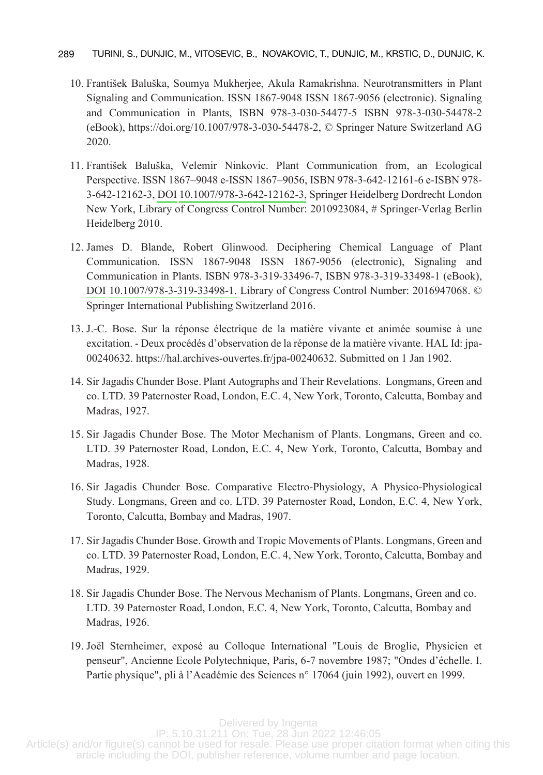- 10. František Baluška, Soumya Mukherjee, Akula Ramakrishna. Neurotransmitters in Plant Signaling and Communication. ISSN 1867-9048 ISSN 1867-9056 (electronic). Signaling and Communication in Plants, ISBN 978-3-030-54477-5 ISBN 978-3-030-54478-2 (eBook), https://doi.org/10.1007/978-3-030-54478-2, © Springer Nature Switzerland AG 2020.
- 11. František Baluška, Velemir Ninkovic. Plant Communication from, an Ecological Perspective. ISSN 1867–9048 e-ISSN 1867–9056, ISBN 978-3-642-12161-6 e-ISBN 978- 3-642-12162-3, [DOI](http://dx.doi.org/10.1007/978-3-642-12162-3) 10.1007/978[-3-642-12162-3,](http://dx.doi.org/10.1007/978-3-642-12162-3) Springer Heidelberg Dordrecht London New York, Library of Congress Control Number: 2010923084, # Springer-Verlag Berlin Heidelberg 2010.
- 12. James D. Blande, Robert Glinwood. Deciphering Chemical Language of Plant Communication. ISSN 1867-9048 ISSN 1867-9056 (electronic), Signaling and Communication in Plants. ISBN 978-3-319-33496-7, ISBN 978-3-319-33498-1 (eBook), [DOI](http://dx.doi.org/10.1007/978-3-319-33498-1) [10.1007/978](http://dx.doi.org/10.1007/978-3-319-33498-1)-3-319-33498-1. Library of Congress Control Number: 2016947068. © Springer International Publishing Switzerland 2016.
- 13. J.-C. Bose. Sur la réponse électrique de la matière vivante et animée soumise à une excitation. - Deux procédés d'observation de la réponse de la matière vivante. HAL Id: jpa-00240632. https://hal.archives-ouvertes.fr/jpa-00240632. Submitted on 1 Jan 1902.
- 14. Sir Jagadis Chunder Bose. Plant Autographs and Their Revelations. Longmans, Green and co. LTD. 39 Paternoster Road, London, E.C. 4, New York, Toronto, Calcutta, Bombay and Madras, 1927.
- 15. Sir Jagadis Chunder Bose. The Motor Mechanism of Plants. Longmans, Green and co. LTD. 39 Paternoster Road, London, E.C. 4, New York, Toronto, Calcutta, Bombay and Madras, 1928.
- 16. Sir Jagadis Chunder Bose. Comparative Electro-Physiology, A Physico-Physiological Study. Longmans, Green and co. LTD. 39 Paternoster Road, London, E.C. 4, New York, Toronto, Calcutta, Bombay and Madras, 1907.
- co. LTD. 39 Paternoster Road, London, E.C. 4, New York, Toronto, Calcutta, Bombay and 17. Sir Jagadis Chunder Bose. Growth and Tropic Movements of Plants. Longmans, Green and Madras, 1929.
- 18. Sir Jagadis Chunder Bose. The Nervous Mechanism of Plants. Longmans, Green and co. LTD. 39 Paternoster Road, London, E.C. 4, New York, Toronto, Calcutta, Bombay and Madras, 1926.
- 19. Joël Sternheimer, exposé au Colloque International "Louis de Broglie, Physicien et penseur", Ancienne Ecole Polytechnique, Paris, 6-7 novembre 1987; "Ondes d'échelle. I. Partie physique", pli à l'Académie des Sciences n° 17064 (juin 1992), ouvert en 1999.

Delivered by Ingenta

delivered by Ingerita<br>IP: 5.10.31.211 On: Tue, 28 Jun 2022 12:46:05 Article(s) and/or figure(s) cannot be used for resale. Please use proper citation format when citing this and of hydrogy cannot be doca to recease. These des proper enanomement when entries and a set of the DOI, publisher reference, volume number and page location.